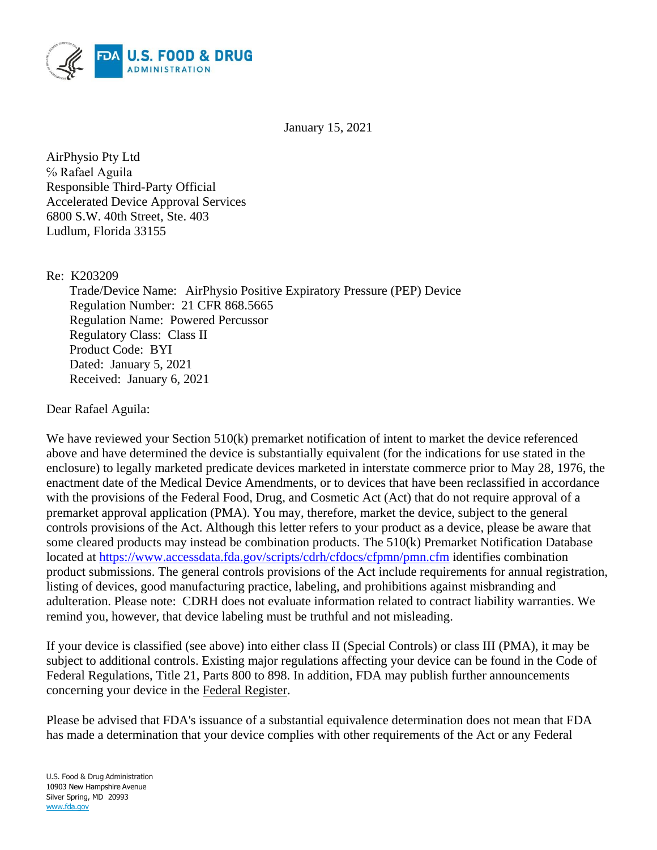

January 15, 2021

AirPhysio Pty Ltd ℅ Rafael Aguila Responsible Third-Party Official Accelerated Device Approval Services 6800 S.W. 40th Street, Ste. 403 Ludlum, Florida 33155

Re: K203209

Trade/Device Name: AirPhysio Positive Expiratory Pressure (PEP) Device Regulation Number: 21 CFR 868.5665 Regulation Name: Powered Percussor Regulatory Class: Class II Product Code: BYI Dated: January 5, 2021 Received: January 6, 2021

Dear Rafael Aguila:

We have reviewed your Section 510(k) premarket notification of intent to market the device referenced above and have determined the device is substantially equivalent (for the indications for use stated in the enclosure) to legally marketed predicate devices marketed in interstate commerce prior to May 28, 1976, the enactment date of the Medical Device Amendments, or to devices that have been reclassified in accordance with the provisions of the Federal Food, Drug, and Cosmetic Act (Act) that do not require approval of a premarket approval application (PMA). You may, therefore, market the device, subject to the general controls provisions of the Act. Although this letter refers to your product as a device, please be aware that some cleared products may instead be combination products. The 510(k) Premarket Notification Database located at<https://www.accessdata.fda.gov/scripts/cdrh/cfdocs/cfpmn/pmn.cfm> identifies combination product submissions. The general controls provisions of the Act include requirements for annual registration, listing of devices, good manufacturing practice, labeling, and prohibitions against misbranding and adulteration. Please note: CDRH does not evaluate information related to contract liability warranties. We remind you, however, that device labeling must be truthful and not misleading.

If your device is classified (see above) into either class II (Special Controls) or class III (PMA), it may be subject to additional controls. Existing major regulations affecting your device can be found in the Code of Federal Regulations, Title 21, Parts 800 to 898. In addition, FDA may publish further announcements concerning your device in the Federal Register.

Please be advised that FDA's issuance of a substantial equivalence determination does not mean that FDA has made a determination that your device complies with other requirements of the Act or any Federal